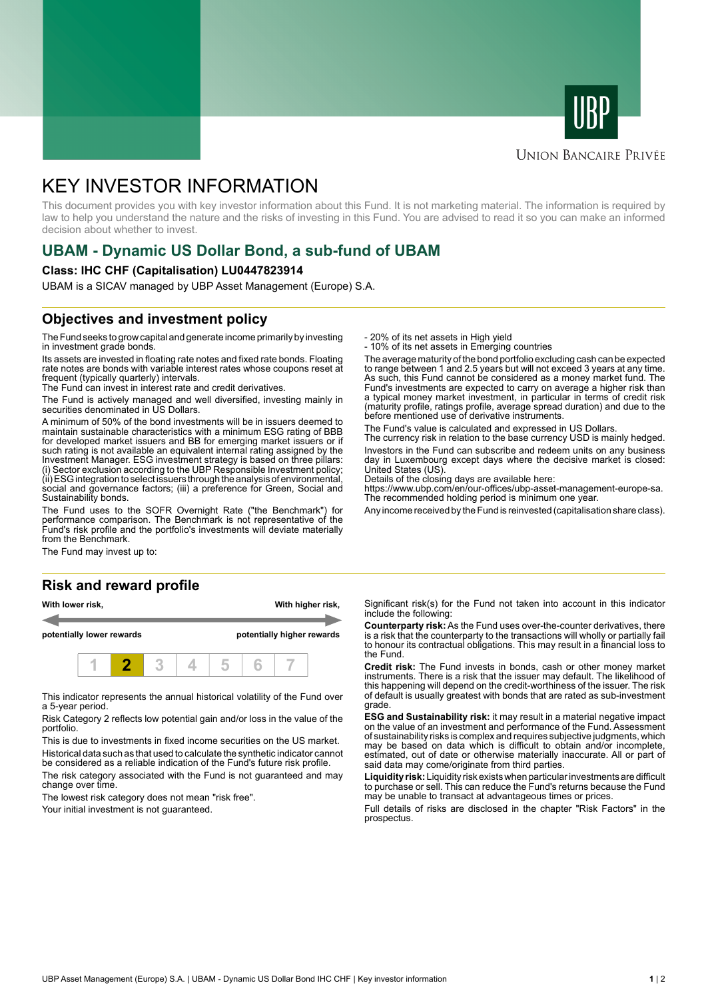



### **UNION BANCAIRE PRIVÉE**

# KEY INVESTOR INFORMATION

This document provides you with key investor information about this Fund. It is not marketing material. The information is required by law to help you understand the nature and the risks of investing in this Fund. You are advised to read it so you can make an informed decision about whether to invest.

# **UBAM - Dynamic US Dollar Bond, a sub-fund of UBAM**

#### **Class: IHC CHF (Capitalisation) LU0447823914**

UBAM is a SICAV managed by UBP Asset Management (Europe) S.A.

## **Objectives and investment policy**

The Fund seeks to grow capital and generate income primarily by investing in investment grade bonds.

Its assets are invested in floating rate notes and fixed rate bonds. Floating rate notes are bonds with variable interest rates whose coupons reset at frequent (typically quarterly) intervals.

The Fund can invest in interest rate and credit derivatives.

The Fund is actively managed and well diversified, investing mainly in securities denominated in US Dollars.

A minimum of 50% of the bond investments will be in issuers deemed to maintain sustainable characteristics with a minimum ESG rating of BBB for developed market issuers and BB for emerging market issuers or if such rating is not available an equivalent internal rating assigned by the Investment Manager. ESG investment strategy is based on three pillars: (i) Sector exclusion according to the UBP Responsible Investment policy; (ii) ESG integration to select issuers through the analysis of environmental, social and governance factors; (iii) a preference for Green, Social and Sustainability bonds.

The Fund uses to the SOFR Overnight Rate ("the Benchmark") for performance comparison. The Benchmark is not representative of the Fund's risk profile and the portfolio's investments will deviate materially from the Benchmark.

The Fund may invest up to:

#### **Risk and reward profile**





This indicator represents the annual historical volatility of the Fund over a 5-year period.

Risk Category 2 reflects low potential gain and/or loss in the value of the portfolio.

This is due to investments in fixed income securities on the US market. Historical data such as that used to calculate the synthetic indicator cannot be considered as a reliable indication of the Fund's future risk profile.

The risk category associated with the Fund is not guaranteed and may change over time.

The lowest risk category does not mean "risk free".

Your initial investment is not guaranteed.

- 20% of its net assets in High yield

- 10% of its net assets in Emerging countries

The average maturity of the bond portfolio excluding cash can be expected to range between 1 and 2.5 years but will not exceed 3 years at any time. As such, this Fund cannot be considered as a money market fund. The Fund's investments are expected to carry on average a higher risk than a typical money market investment, in particular in terms of credit risk (maturity profile, ratings profile, average spread duration) and due to the before mentioned use of derivative instruments.

The Fund's value is calculated and expressed in US Dollars.

The currency risk in relation to the base currency USD is mainly hedged. Investors in the Fund can subscribe and redeem units on any business day in Luxembourg except days where the decisive market is closed:

United States (US). Details of the closing days are available here:

https://www.ubp.com/en/our-offices/ubp-asset-management-europe-sa. The recommended holding period is minimum one year.

Any income received by the Fund is reinvested (capitalisation share class).

Significant risk(s) for the Fund not taken into account in this indicator include the following:

**Counterparty risk:** As the Fund uses over-the-counter derivatives, there is a risk that the counterparty to the transactions will wholly or partially fail to honour its contractual obligations. This may result in a financial loss to the Fund.

**Credit risk:** The Fund invests in bonds, cash or other money market instruments. There is a risk that the issuer may default. The likelihood of this happening will depend on the credit-worthiness of the issuer. The risk of default is usually greatest with bonds that are rated as sub-investment grade.

**ESG and Sustainability risk:** it may result in a material negative impact on the value of an investment and performance of the Fund. Assessment of sustainability risks is complex and requires subjective judgments, which may be based on data which is difficult to obtain and/or incomplete, estimated, out of date or otherwise materially inaccurate. All or part of said data may come/originate from third parties.

**Liquidity risk:** Liquidity risk exists when particular investments are difficult to purchase or sell. This can reduce the Fund's returns because the Fund may be unable to transact at advantageous times or prices.

Full details of risks are disclosed in the chapter "Risk Factors" in the prospectus.

UBP Asset Management (Europe) S.A. | UBAM - Dynamic US Dollar Bond IHC CHF | Key investor information **1** | 2